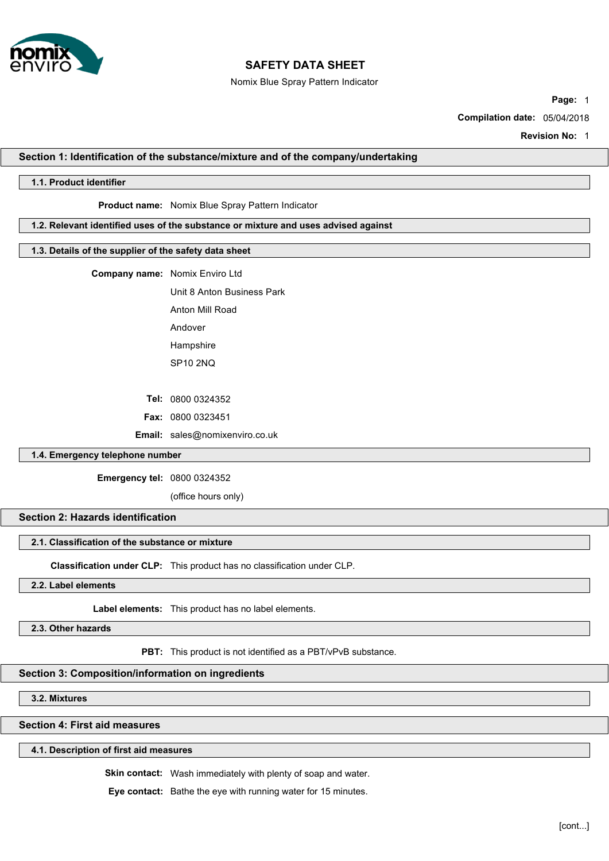

Nomix Blue Spray Pattern Indicator

**Page:** 1

**Compilation date:** 05/04/2018

**Revision No:** 1

## **Section 1: Identification of the substance/mixture and of the company/undertaking**

# **1.1. Product identifier**

# **Product name:** Nomix Blue Spray Pattern Indicator

## **1.2. Relevant identified uses of the substance or mixture and uses advised against**

# **1.3. Details of the supplier of the safety data sheet**

**Company name:** Nomix Enviro Ltd

Unit 8 Anton Business Park Anton Mill Road

Andover

Hampshire

SP10 2NQ

**Tel:** 0800 0324352

**Fax:** 0800 0323451

**Email:** sales@nomixenviro.co.uk

# **1.4. Emergency telephone number**

**Emergency tel:** 0800 0324352

(office hours only)

### **Section 2: Hazards identification**

#### **2.1. Classification of the substance or mixture**

**Classification under CLP:** This product has no classification under CLP.

### **2.2. Label elements**

**Label elements:** This product has no label elements.

**2.3. Other hazards**

**PBT:** This product is not identified as a PBT/vPvB substance.

### **Section 3: Composition/information on ingredients**

**3.2. Mixtures**

# **Section 4: First aid measures**

#### **4.1. Description of first aid measures**

**Skin contact:** Wash immediately with plenty of soap and water.

**Eye contact:** Bathe the eye with running water for 15 minutes.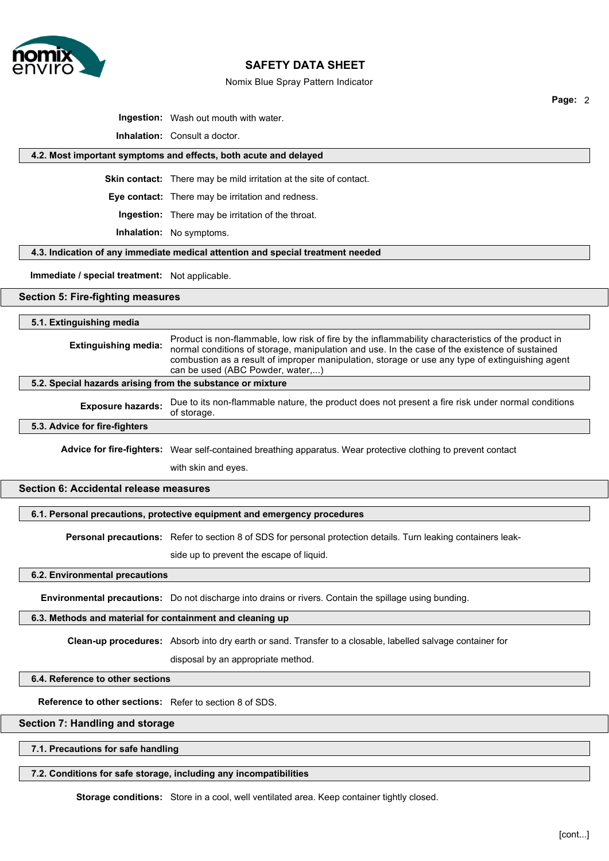

#### Nomix Blue Spray Pattern Indicator

**Page:** 2

**Ingestion:** Wash out mouth with water.

**Inhalation:** Consult a doctor.

### **4.2. Most important symptoms and effects, both acute and delayed**

**Skin contact:** There may be mild irritation at the site of contact.

**Eye contact:** There may be irritation and redness.

**Ingestion:** There may be irritation of the throat.

**Inhalation:** No symptoms.

**4.3. Indication of any immediate medical attention and special treatment needed**

### **Immediate / special treatment:** Not applicable.

### **Section 5: Fire-fighting measures**

## **5.1. Extinguishing media**

| <b>Extinguishing media:</b> | Product is non-flammable, low risk of fire by the inflammability characteristics of the product in<br>normal conditions of storage, manipulation and use. In the case of the existence of sustained |
|-----------------------------|-----------------------------------------------------------------------------------------------------------------------------------------------------------------------------------------------------|
|                             | combustion as a result of improper manipulation, storage or use any type of extinguishing agent<br>can be used (ABC Powder, water,)                                                                 |

## **5.2. Special hazards arising from the substance or mixture**

use.

**Exposure hazards:** of storage. Due to its non-flammable nature, the product does not present a fire risk under normal conditions

#### **5.3. Advice for fire-fighters**

**Advice for fire-fighters:** Wear self-contained breathing apparatus. Wear protective clothing to prevent contact

with skin and eyes.

# **Section 6: Accidental release measures**

#### **6.1. Personal precautions, protective equipment and emergency procedures**

**Personal precautions:** Refer to section 8 of SDS for personal protection details. Turn leaking containers leak-

side up to prevent the escape of liquid.

#### **6.2. Environmental precautions**

**Environmental precautions:** Do not discharge into drains or rivers. Contain the spillage using bunding.

#### **6.3. Methods and material for containment and cleaning up**

**Clean-up procedures:** Absorb into dry earth or sand. Transfer to a closable, labelled salvage container for

disposal by an appropriate method.

#### **6.4. Reference to other sections**

**Reference to other sections:** Refer to section 8 of SDS.

## **Section 7: Handling and storage**

#### **7.1. Precautions for safe handling**

#### **7.2. Conditions for safe storage, including any incompatibilities**

**Storage conditions:** Store in a cool, well ventilated area. Keep container tightly closed.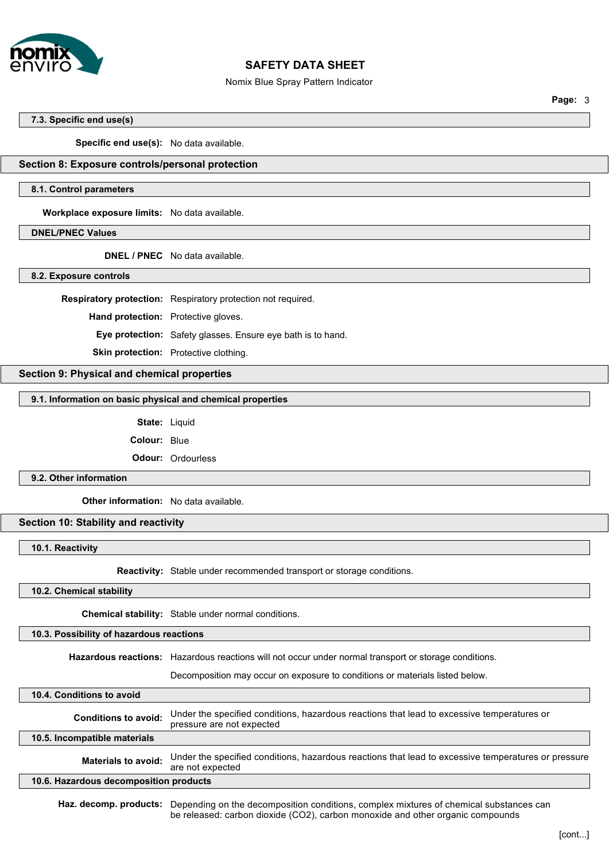

#### Nomix Blue Spray Pattern Indicator

**Page:** 3

#### **7.3. Specific end use(s)**

**Specific end use(s):** No data available.

# **Section 8: Exposure controls/personal protection**

### **8.1. Control parameters**

**Workplace exposure limits:** No data available.

# **DNEL/PNEC Values**

**DNEL / PNEC** No data available.

**8.2. Exposure controls**

**Respiratory protection:** Respiratory protection not required.

**Hand protection:** Protective gloves.

**Eye protection:** Safety glasses. Ensure eye bath is to hand.

**Skin protection:** Protective clothing.

# **Section 9: Physical and chemical properties**

### **9.1. Information on basic physical and chemical properties**

State: Liquid

**Colour:** Blue

**Odour:** Ordourless

### **9.2. Other information**

**Other information:** No data available.

# **Section 10: Stability and reactivity**

**10.1. Reactivity**

**Reactivity:** Stable under recommended transport or storage conditions.

**10.2. Chemical stability**

**Chemical stability:** Stable under normal conditions.

### **10.3. Possibility of hazardous reactions**

**Hazardous reactions:** Hazardous reactions will not occur under normal transport or storage conditions.

Decomposition may occur on exposure to conditions or materials listed below.

| 10.4. Conditions to avoid              |                                                                                                                         |  |
|----------------------------------------|-------------------------------------------------------------------------------------------------------------------------|--|
| <b>Conditions to avoid:</b>            | Under the specified conditions, hazardous reactions that lead to excessive temperatures or<br>pressure are not expected |  |
| 10.5. Incompatible materials           |                                                                                                                         |  |
| <b>Materials to avoid:</b>             | Under the specified conditions, hazardous reactions that lead to excessive temperatures or pressure<br>are not expected |  |
| 10.6. Hazardous decomposition products |                                                                                                                         |  |
|                                        |                                                                                                                         |  |

Haz. decomp. products: Depending on the decomposition conditions, complex mixtures of chemical substances can be released: carbon dioxide (CO2), carbon monoxide and other organic compounds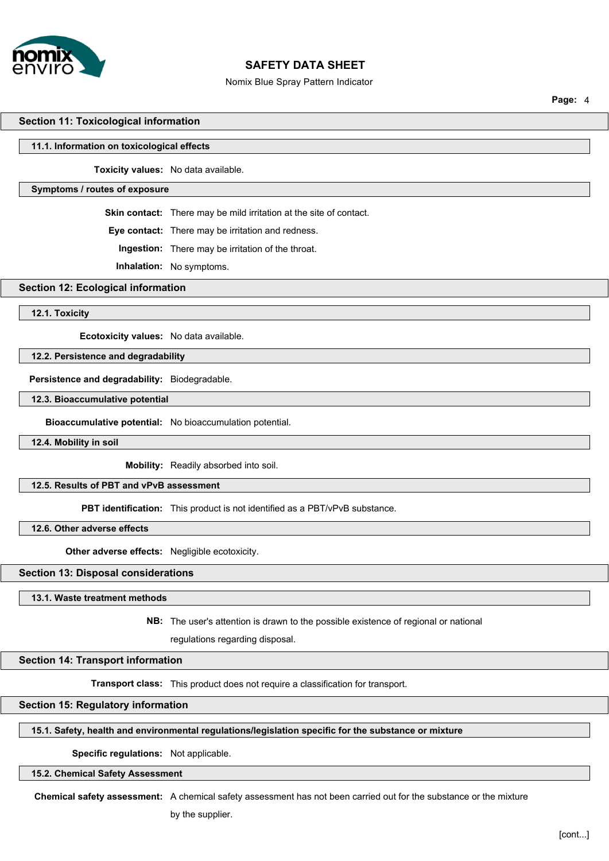

#### Nomix Blue Spray Pattern Indicator

**Page:** 4

### **Section 11: Toxicological information**

#### **11.1. Information on toxicological effects**

**Toxicity values:** No data available.

## **Symptoms / routes of exposure**

**Skin contact:** There may be mild irritation at the site of contact.

**Eye contact:** There may be irritation and redness.

**Ingestion:** There may be irritation of the throat.

**Inhalation:** No symptoms.

# **Section 12: Ecological information**

**12.1. Toxicity**

**Ecotoxicity values:** No data available.

# **12.2. Persistence and degradability**

**Persistence and degradability:** Biodegradable.

## **12.3. Bioaccumulative potential**

**Bioaccumulative potential:** No bioaccumulation potential.

## **12.4. Mobility in soil**

**Mobility:** Readily absorbed into soil.

#### **12.5. Results of PBT and vPvB assessment**

**PBT identification:** This product is not identified as a PBT/vPvB substance.

**12.6. Other adverse effects**

**Other adverse effects:** Negligible ecotoxicity.

#### **Section 13: Disposal considerations**

**13.1. Waste treatment methods**

**NB:** The user's attention is drawn to the possible existence of regional or national

regulations regarding disposal.

#### **Section 14: Transport information**

**Transport class:** This product does not require a classification for transport.

# **Section 15: Regulatory information**

# **15.1. Safety, health and environmental regulations/legislation specific for the substance or mixture**

**Specific regulations:** Not applicable.

# **15.2. Chemical Safety Assessment**

**Chemical safety assessment:** A chemical safety assessment has not been carried out for the substance or the mixture

by the supplier.